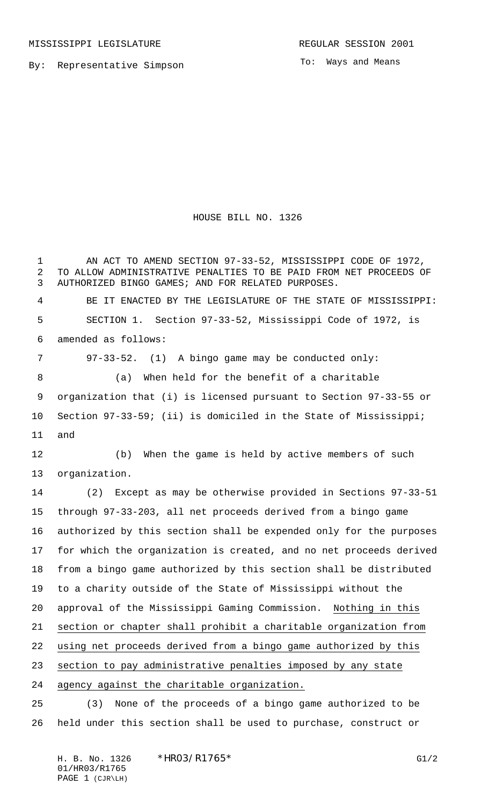MISSISSIPPI LEGISLATURE **REGULAR SESSION 2001** 

By: Representative Simpson

To: Ways and Means

## HOUSE BILL NO. 1326

 AN ACT TO AMEND SECTION 97-33-52, MISSISSIPPI CODE OF 1972, TO ALLOW ADMINISTRATIVE PENALTIES TO BE PAID FROM NET PROCEEDS OF AUTHORIZED BINGO GAMES; AND FOR RELATED PURPOSES. BE IT ENACTED BY THE LEGISLATURE OF THE STATE OF MISSISSIPPI: SECTION 1. Section 97-33-52, Mississippi Code of 1972, is amended as follows: 97-33-52. (1) A bingo game may be conducted only: (a) When held for the benefit of a charitable organization that (i) is licensed pursuant to Section 97-33-55 or Section 97-33-59; (ii) is domiciled in the State of Mississippi; and (b) When the game is held by active members of such organization. (2) Except as may be otherwise provided in Sections 97-33-51 through 97-33-203, all net proceeds derived from a bingo game authorized by this section shall be expended only for the purposes for which the organization is created, and no net proceeds derived from a bingo game authorized by this section shall be distributed to a charity outside of the State of Mississippi without the approval of the Mississippi Gaming Commission. Nothing in this section or chapter shall prohibit a charitable organization from using net proceeds derived from a bingo game authorized by this section to pay administrative penalties imposed by any state agency against the charitable organization. (3) None of the proceeds of a bingo game authorized to be

held under this section shall be used to purchase, construct or